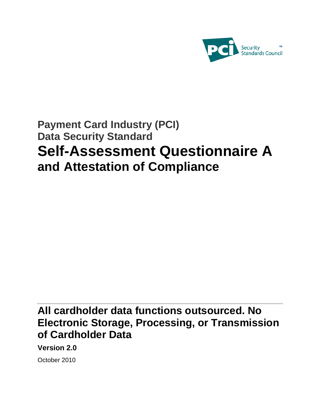

# **Payment Card Industry (PCI) Data Security Standard Self-Assessment Questionnaire A and Attestation of Compliance**

# **All cardholder data functions outsourced. No Electronic Storage, Processing, or Transmission of Cardholder Data**

**Version 2.0** 

October 2010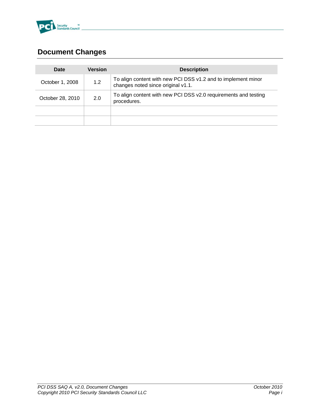

# <span id="page-1-0"></span>**Document Changes**

| Date                   | Version | <b>Description</b>                                                                                  |
|------------------------|---------|-----------------------------------------------------------------------------------------------------|
| 1.2<br>October 1, 2008 |         | To align content with new PCI DSS v1.2 and to implement minor<br>changes noted since original v1.1. |
| October 28, 2010       | 2.0     | To align content with new PCI DSS v2.0 requirements and testing<br>procedures.                      |
|                        |         |                                                                                                     |
|                        |         |                                                                                                     |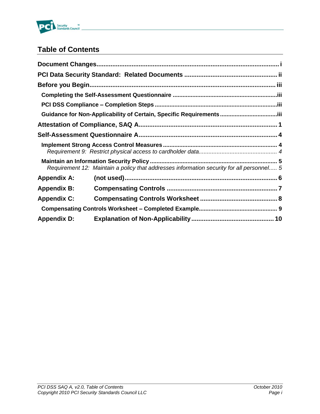

# **Table of Contents**

|                    | Requirement 12: Maintain a policy that addresses information security for all personnel 5 |  |
|--------------------|-------------------------------------------------------------------------------------------|--|
| <b>Appendix A:</b> |                                                                                           |  |
| <b>Appendix B:</b> |                                                                                           |  |
| <b>Appendix C:</b> |                                                                                           |  |
|                    |                                                                                           |  |
| <b>Appendix D:</b> |                                                                                           |  |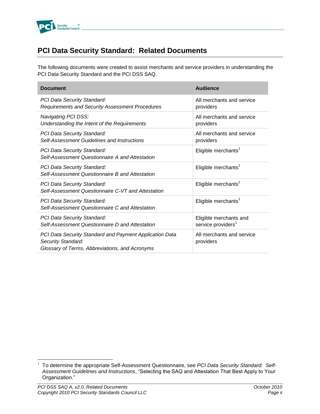

## <span id="page-3-0"></span>**PCI Data Security Standard: Related Documents**

The following documents were created to assist merchants and service providers in understanding the PCI Data Security Standard and the PCI DSS SAQ.

| <b>Document</b>                                                                                                                 | <b>Audience</b>                                          |
|---------------------------------------------------------------------------------------------------------------------------------|----------------------------------------------------------|
| <b>PCI Data Security Standard:</b><br>Requirements and Security Assessment Procedures                                           | All merchants and service<br>providers                   |
| Navigating PCI DSS:<br>Understanding the Intent of the Requirements                                                             | All merchants and service<br>providers                   |
| <b>PCI Data Security Standard:</b><br><b>Self-Assessment Guidelines and Instructions</b>                                        | All merchants and service<br>providers                   |
| <b>PCI Data Security Standard:</b><br>Self-Assessment Questionnaire A and Attestation                                           | Eligible merchants <sup>1</sup>                          |
| <b>PCI Data Security Standard:</b><br>Self-Assessment Questionnaire B and Attestation                                           | Eligible merchants <sup>1</sup>                          |
| <b>PCI Data Security Standard:</b><br>Self-Assessment Questionnaire C-VT and Attestation                                        | Eligible merchants <sup>1</sup>                          |
| <b>PCI Data Security Standard:</b><br>Self-Assessment Questionnaire C and Attestation                                           | Eligible merchants <sup>1</sup>                          |
| <b>PCI Data Security Standard:</b><br>Self-Assessment Questionnaire D and Attestation                                           | Eligible merchants and<br>service providers <sup>1</sup> |
| PCI Data Security Standard and Payment Application Data<br>Security Standard:<br>Glossary of Terms, Abbreviations, and Acronyms | All merchants and service<br>providers                   |

 $\overline{a}$ 

<sup>&</sup>lt;sup>1</sup> To determine the appropriate Self-Assessment Questionnaire, see PCI Data Security Standard: Self-*Assessment Guidelines and Instructions*, "Selecting the SAQ and Attestation That Best Apply to Your Organization."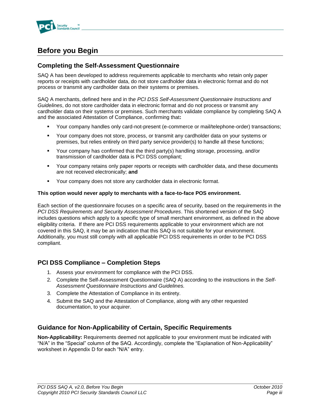

# <span id="page-4-0"></span>**Before you Begin**

## <span id="page-4-1"></span>**Completing the Self-Assessment Questionnaire**

SAQ A has been developed to address requirements applicable to merchants who retain only paper reports or receipts with cardholder data, do not store cardholder data in electronic format and do not process or transmit any cardholder data on their systems or premises.

SAQ A merchants, defined here and in th*e PCI DSS Self-Assessment Questionnaire Instructions and Guidelines*, do not store cardholder data in electronic format and do not process or transmit any cardholder data on their systems or premises. Such merchants validate compliance by completing SAQ A and the associated Attestation of Compliance, confirming that**:**

- Your company handles only card-not-present (e-commerce or mail/telephone-order) transactions;
- Your company does not store, process, or transmit any cardholder data on your systems or premises, but relies entirely on third party service provider(s) to handle all these functions;
- Your company has confirmed that the third party(s) handling storage, processing, and/or transmission of cardholder data is PCI DSS compliant;
- Your company retains only paper reports or receipts with cardholder data, and these documents are not received electronically; **and**
- Your company does not store any cardholder data in electronic format.

#### **This option would never apply to merchants with a face-to-face POS environment.**

Each section of the questionnaire focuses on a specific area of security, based on the requirements in the *PCI DSS Requirements and Security Assessment Procedures*. This shortened version of the SAQ includes questions which apply to a specific type of small merchant environment, as defined in the above eligibility criteria. If there are PCI DSS requirements applicable to your environment which are not covered in this SAQ, it may be an indication that this SAQ is not suitable for your environment. Additionally, you must still comply with all applicable PCI DSS requirements in order to be PCI DSS compliant.

## <span id="page-4-2"></span>**PCI DSS Compliance – Completion Steps**

- 1. Assess your environment for compliance with the PCI DSS.
- 2. Complete the Self-Assessment Questionnaire (SAQ A) according to the instructions in the *Self-Assessment Questionnaire Instructions and Guidelines.*
- 3. Complete the Attestation of Compliance in its entirety.
- 4. Submit the SAQ and the Attestation of Compliance, along with any other requested documentation, to your acquirer.

## <span id="page-4-3"></span>**Guidance for Non-Applicability of Certain, Specific Requirements**

**Non-Applicability:** Requirements deemed not applicable to your environment must be indicated with "N/A" in the "Special" column of the SAQ. Accordingly, complete the "Explanation of Non-Applicability" worksheet in Appendix D for each "N/A" entry.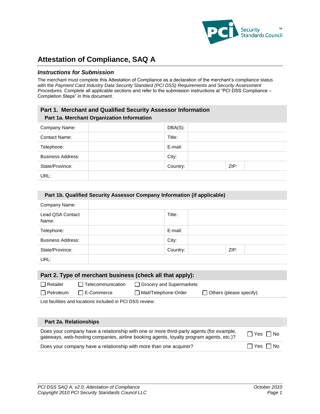

# <span id="page-5-0"></span>**Attestation of Compliance, SAQ A**

### *Instructions for Submission*

The merchant must complete this Attestation of Compliance as a declaration of the merchant's compliance status with the *Payment Card Industry Data Security Standard (PCI DSS) Requirements and Security Assessment Procedures.* Complete all applicable sections and refer to the submission instructions at "PCI DSS Compliance – Completion Steps" in this document.

### **Part 1. Merchant and Qualified Security Assessor Information Part 1a. Merchant Organization Information**

| Company Name:            | DBA(S):  |      |  |
|--------------------------|----------|------|--|
| <b>Contact Name:</b>     | Title:   |      |  |
| Telephone:               | E-mail:  |      |  |
| <b>Business Address:</b> | City:    |      |  |
| State/Province:          | Country: | ZIP: |  |
| URL:                     |          |      |  |

#### **Part 1b. Qualified Security Assessor Company Information (if applicable)**

| Company Name:             |          |      |  |
|---------------------------|----------|------|--|
| Lead QSA Contact<br>Name: | Title:   |      |  |
| Telephone:                | E-mail:  |      |  |
| <b>Business Address:</b>  | City:    |      |  |
| State/Province:           | Country: | ZIP: |  |
| URL:                      |          |      |  |

| Part 2. Type of merchant business (check all that apply): |                          |                            |                                 |  |  |  |
|-----------------------------------------------------------|--------------------------|----------------------------|---------------------------------|--|--|--|
| $\Box$ Retailer                                           | $\Box$ Telecommunication | □ Grocery and Supermarkets |                                 |  |  |  |
| $\Box$ Petroleum                                          | $\Box$ E-Commerce        | Mail/Telephone-Order       | $\Box$ Others (please specify): |  |  |  |
| List facilities and locations included in PCI DSS review: |                          |                            |                                 |  |  |  |

#### **Part 2a. Relationships**

| Does your company have a relationship with one or more third-party agents (for example,<br>gateways, web-hosting companies, airline booking agents, loyalty program agents, etc.)? | $\Box$ Yes $\Box$ No |
|------------------------------------------------------------------------------------------------------------------------------------------------------------------------------------|----------------------|
| Does your company have a relationship with more than one acquirer?                                                                                                                 | □ Yes □ No           |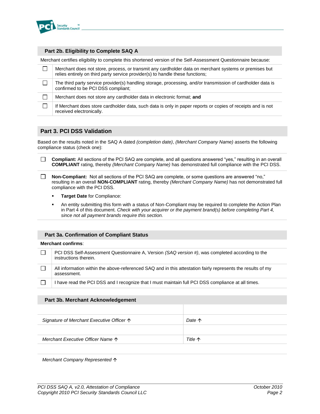

#### **Part 2b. Eligibility to Complete SAQ A**

Merchant certifies eligibility to complete this shortened version of the Self-Assessment Questionnaire because:

| Merchant does not store, process, or transmit any cardholder data on merchant systems or premises but<br>relies entirely on third party service provider(s) to handle these functions; |
|----------------------------------------------------------------------------------------------------------------------------------------------------------------------------------------|
| The third party service provider(s) handling storage, processing, and/or transmission of cardholder data is<br>confirmed to be PCI DSS compliant;                                      |
| Merchant does not store any cardholder data in electronic format; and                                                                                                                  |
| If Merchant does store cardholder data, such data is only in paper reports or copies of receipts and is not<br>received electronically.                                                |

### **Part 3. PCI DSS Validation**

Based on the results noted in the SAQ A dated *(completion date)*, *(Merchant Company Name)* asserts the following compliance status (check one):

 $\Box$ **Compliant:** All sections of the PCI SAQ are complete, and all questions answered "yes," resulting in an overall **COMPLIANT** rating, thereby *(Merchant Company Name)* has demonstrated full compliance with the PCI DSS.

 $\Box$ **Non-Compliant:** Not all sections of the PCI SAQ are complete, or some questions are answered "no," resulting in an overall **NON-COMPLIANT** rating, thereby *(Merchant Company Name)* has not demonstrated full compliance with the PCI DSS.

- **Target Date** for Compliance:
- An entity submitting this form with a status of Non-Compliant may be required to complete the Action Plan in Part 4 of this document. *Check with your acquirer or the payment brand(s) before completing Part 4, since not all payment brands require this section.*

#### **Part 3a. Confirmation of Compliant Status**

#### **Merchant confirms**:

| PCI DSS Self-Assessment Questionnaire A, Version (SAQ version #), was completed according to the<br>instructions therein.  |
|----------------------------------------------------------------------------------------------------------------------------|
| All information within the above-referenced SAQ and in this attestation fairly represents the results of my<br>assessment. |
| I have read the PCI DSS and I recognize that I must maintain full PCI DSS compliance at all times.                         |

#### **Part 3b. Merchant Acknowledgement**

| Signature of Merchant Executive Officer $\uparrow$ | Date $\uparrow$ |
|----------------------------------------------------|-----------------|
|                                                    |                 |
| Merchant Executive Officer Name $\uparrow$         | Title 个         |
|                                                    |                 |

*Merchant Company Represented*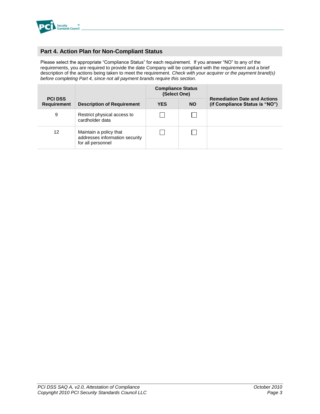

### **Part 4. Action Plan for Non-Compliant Status**

Please select the appropriate "Compliance Status" for each requirement. If you answer "NO" to any of the requirements, you are required to provide the date Company will be compliant with the requirement and a brief description of the actions being taken to meet the requirement. *Check with your acquirer or the payment brand(s) before completing Part 4, since not all payment brands require this section.*

|                                      |                                                                               | <b>Compliance Status</b><br>(Select One) |           |                                                                       |  |  |
|--------------------------------------|-------------------------------------------------------------------------------|------------------------------------------|-----------|-----------------------------------------------------------------------|--|--|
| <b>PCI DSS</b><br><b>Requirement</b> | <b>Description of Requirement</b>                                             | <b>YES</b>                               | <b>NO</b> | <b>Remediation Date and Actions</b><br>(if Compliance Status is "NO") |  |  |
| 9                                    | Restrict physical access to<br>cardholder data                                |                                          |           |                                                                       |  |  |
| 12                                   | Maintain a policy that<br>addresses information security<br>for all personnel |                                          |           |                                                                       |  |  |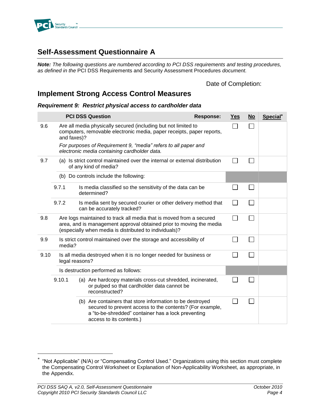

## <span id="page-8-0"></span>**Self-Assessment Questionnaire A**

*Note: The following questions are numbered according to PCI DSS requirements and testing procedures, as defined in the* PCI DSS Requirements and Security Assessment Procedures *document.* 

### Date of Completion:

## <span id="page-8-1"></span>**Implement Strong Access Control Measures**

### <span id="page-8-2"></span>*Requirement 9: Restrict physical access to cardholder data*

|      |             | <b>PCI DSS Question</b>                                                                                                                                                                                 | <b>Response:</b> | Yes                      | $No$           | Special <sup>*</sup> |
|------|-------------|---------------------------------------------------------------------------------------------------------------------------------------------------------------------------------------------------------|------------------|--------------------------|----------------|----------------------|
| 9.6  | and faxes)? | Are all media physically secured (including but not limited to<br>computers, removable electronic media, paper receipts, paper reports,                                                                 |                  |                          |                |                      |
|      |             | For purposes of Requirement 9, "media" refers to all paper and<br>electronic media containing cardholder data.                                                                                          |                  |                          |                |                      |
| 9.7  |             | (a) Is strict control maintained over the internal or external distribution<br>of any kind of media?                                                                                                    |                  |                          | $\sim$         |                      |
|      |             | (b) Do controls include the following:                                                                                                                                                                  |                  |                          |                |                      |
|      | 9.7.1       | Is media classified so the sensitivity of the data can be<br>determined?                                                                                                                                |                  |                          | $\sim$         |                      |
|      | 9.7.2       | Is media sent by secured courier or other delivery method that<br>can be accurately tracked?                                                                                                            |                  | $\overline{\phantom{a}}$ | $\mathbb{R}^n$ |                      |
| 9.8  |             | Are logs maintained to track all media that is moved from a secured<br>area, and is management approval obtained prior to moving the media<br>(especially when media is distributed to individuals)?    |                  | - 1                      | $\sim$         |                      |
| 9.9  | media?      | Is strict control maintained over the storage and accessibility of                                                                                                                                      |                  |                          | $\sim$         |                      |
| 9.10 |             | Is all media destroyed when it is no longer needed for business or<br>legal reasons?                                                                                                                    |                  |                          | $\mathbf{L}$   |                      |
|      |             | Is destruction performed as follows:                                                                                                                                                                    |                  |                          |                |                      |
|      | 9.10.1      | (a) Are hardcopy materials cross-cut shredded, incinerated,<br>or pulped so that cardholder data cannot be<br>reconstructed?                                                                            |                  |                          |                |                      |
|      |             | (b) Are containers that store information to be destroyed<br>secured to prevent access to the contents? (For example,<br>a "to-be-shredded" container has a lock preventing<br>access to its contents.) |                  |                          |                |                      |

 $\overline{a}$ 

<sup>\*</sup> "Not Applicable" (N/A) or "Compensating Control Used." Organizations using this section must complete the Compensating Control Worksheet or Explanation of Non-Applicability Worksheet, as appropriate, in the Appendix.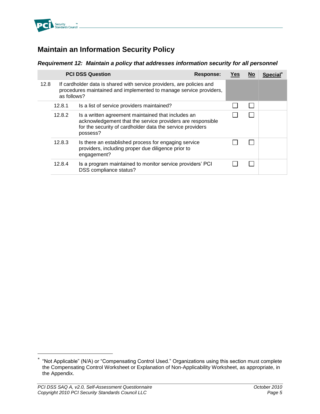

# <span id="page-9-0"></span>**Maintain an Information Security Policy**

## <span id="page-9-1"></span>*Requirement 12: Maintain a policy that addresses information security for all personnel*

|      |                                                                                                                                                            | <b>PCI DSS Question</b>                                                                                                                                                                   | Response: | Yes | <u>No</u> | <b>Special</b> |
|------|------------------------------------------------------------------------------------------------------------------------------------------------------------|-------------------------------------------------------------------------------------------------------------------------------------------------------------------------------------------|-----------|-----|-----------|----------------|
| 12.8 | If cardholder data is shared with service providers, are policies and<br>procedures maintained and implemented to manage service providers,<br>as follows? |                                                                                                                                                                                           |           |     |           |                |
|      | 12.8.1                                                                                                                                                     | Is a list of service providers maintained?                                                                                                                                                |           |     |           |                |
|      | 12.8.2                                                                                                                                                     | Is a written agreement maintained that includes an<br>acknowledgement that the service providers are responsible<br>for the security of cardholder data the service providers<br>possess? |           |     |           |                |
|      | 12.8.3                                                                                                                                                     | Is there an established process for engaging service<br>providers, including proper due diligence prior to<br>engagement?                                                                 |           |     |           |                |
|      | 12.8.4                                                                                                                                                     | Is a program maintained to monitor service providers' PCI<br>DSS compliance status?                                                                                                       |           |     |           |                |

 $\overline{a}$ 

<sup>\*</sup> "Not Applicable" (N/A) or "Compensating Control Used." Organizations using this section must complete the Compensating Control Worksheet or Explanation of Non-Applicability Worksheet, as appropriate, in the Appendix.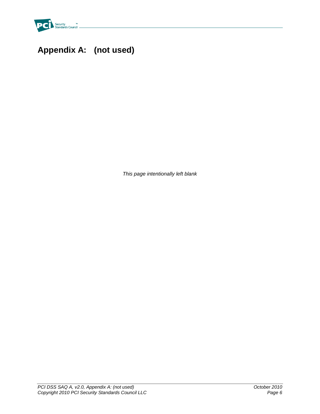

# <span id="page-10-0"></span>**Appendix A: (not used)**

*This page intentionally left blank*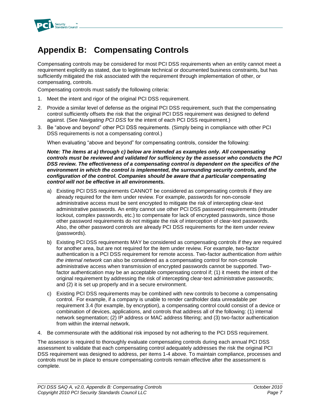

# <span id="page-11-0"></span>**Appendix B: Compensating Controls**

Compensating controls may be considered for most PCI DSS requirements when an entity cannot meet a requirement explicitly as stated, due to legitimate technical or documented business constraints, but has sufficiently mitigated the risk associated with the requirement through implementation of other, or compensating, controls.

Compensating controls must satisfy the following criteria:

- 1. Meet the intent and rigor of the original PCI DSS requirement.
- 2. Provide a similar level of defense as the original PCI DSS requirement, such that the compensating control sufficiently offsets the risk that the original PCI DSS requirement was designed to defend against. (See *Navigating PCI DSS* for the intent of each PCI DSS requirement.)
- 3. Be "above and beyond" other PCI DSS requirements. (Simply being in compliance with other PCI DSS requirements is not a compensating control.)

When evaluating "above and beyond" for compensating controls, consider the following:

*Note: The items at a) through c) below are intended as examples only. All compensating controls must be reviewed and validated for sufficiency by the assessor who conducts the PCI DSS review. The effectiveness of a compensating control is dependent on the specifics of the environment in which the control is implemented, the surrounding security controls, and the configuration of the control. Companies should be aware that a particular compensating control will not be effective in all environments.* 

- a) Existing PCI DSS requirements CANNOT be considered as compensating controls if they are already required for the item under review. For example, passwords for non-console administrative access must be sent encrypted to mitigate the risk of intercepting clear-text administrative passwords. An entity cannot use other PCI DSS password requirements (intruder lockout, complex passwords, etc.) to compensate for lack of encrypted passwords, since those other password requirements do not mitigate the risk of interception of clear-text passwords. Also, the other password controls are already PCI DSS requirements for the item under review (passwords).
- b) Existing PCI DSS requirements MAY be considered as compensating controls if they are required for another area, but are not required for the item under review. For example, two-factor authentication is a PCI DSS requirement for remote access. Two-factor authentication *from within the internal network* can also be considered as a compensating control for non-console administrative access when transmission of encrypted passwords cannot be supported. Twofactor authentication may be an acceptable compensating control if; (1) it meets the intent of the original requirement by addressing the risk of intercepting clear-text administrative passwords; and (2) it is set up properly and in a secure environment.
- c) Existing PCI DSS requirements may be combined with new controls to become a compensating control. For example, if a company is unable to render cardholder data unreadable per requirement 3.4 (for example, by encryption), a compensating control could consist of a device or combination of devices, applications, and controls that address all of the following: (1) internal network segmentation; (2) IP address or MAC address filtering; and (3) two-factor authentication from within the internal network.
- 4. Be commensurate with the additional risk imposed by not adhering to the PCI DSS requirement.

The assessor is required to thoroughly evaluate compensating controls during each annual PCI DSS assessment to validate that each compensating control adequately addresses the risk the original PCI DSS requirement was designed to address, per items 1-4 above. To maintain compliance, processes and controls must be in place to ensure compensating controls remain effective after the assessment is complete.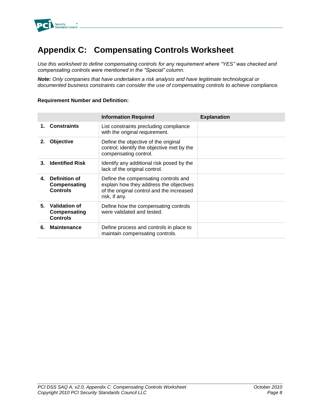

# <span id="page-12-0"></span>**Appendix C: Compensating Controls Worksheet**

*Use this worksheet to define compensating controls for any requirement where "YES" was checked and compensating controls were mentioned in the "Special" column.*

*Note: Only companies that have undertaken a risk analysis and have legitimate technological or documented business constraints can consider the use of compensating controls to achieve compliance.*

### **Requirement Number and Definition:**

|    |                                                  | <b>Information Required</b>                                                                                                                   | <b>Explanation</b> |
|----|--------------------------------------------------|-----------------------------------------------------------------------------------------------------------------------------------------------|--------------------|
|    | <b>Constraints</b>                               | List constraints precluding compliance<br>with the original requirement.                                                                      |                    |
| 2. | Objective                                        | Define the objective of the original<br>control; identify the objective met by the<br>compensating control.                                   |                    |
| 3. | <b>Identified Risk</b>                           | Identify any additional risk posed by the<br>lack of the original control.                                                                    |                    |
| 4. | Definition of<br>Compensating<br><b>Controls</b> | Define the compensating controls and<br>explain how they address the objectives<br>of the original control and the increased<br>risk, if any. |                    |
| 5. | Validation of<br>Compensating<br><b>Controls</b> | Define how the compensating controls<br>were validated and tested.                                                                            |                    |
| 6. | <b>Maintenance</b>                               | Define process and controls in place to<br>maintain compensating controls.                                                                    |                    |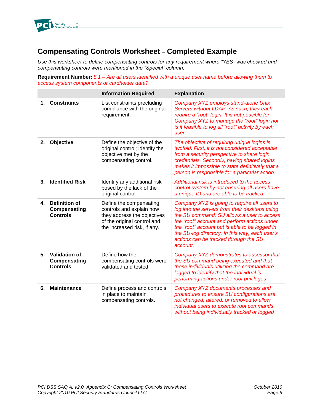

# <span id="page-13-0"></span>**Compensating Controls Worksheet – Completed Example**

*Use this worksheet to define compensating controls for any requirement where "YES" was checked and compensating controls were mentioned in the "Special" column.*

**Requirement Number:** *8.1 – Are all users identified with a unique user name before allowing them to access system components or cardholder data?*

|    |                                                         | <b>Information Required</b>                                                                                                                      | <b>Explanation</b>                                                                                                                                                                                                                                                                                                                                    |
|----|---------------------------------------------------------|--------------------------------------------------------------------------------------------------------------------------------------------------|-------------------------------------------------------------------------------------------------------------------------------------------------------------------------------------------------------------------------------------------------------------------------------------------------------------------------------------------------------|
| 1. | <b>Constraints</b>                                      | List constraints precluding<br>compliance with the original<br>requirement.                                                                      | Company XYZ employs stand-alone Unix<br>Servers without LDAP. As such, they each<br>require a "root" login. It is not possible for<br>Company XYZ to manage the "root" login nor<br>is it feasible to log all "root" activity by each<br>user.                                                                                                        |
| 2. | Objective                                               | Define the objective of the<br>original control; identify the<br>objective met by the<br>compensating control.                                   | The objective of requiring unique logins is<br>twofold. First, it is not considered acceptable<br>from a security perspective to share login<br>credentials. Secondly, having shared logins<br>makes it impossible to state definitively that a<br>person is responsible for a particular action.                                                     |
| 3. | <b>Identified Risk</b>                                  | Identify any additional risk<br>posed by the lack of the<br>original control.                                                                    | Additional risk is introduced to the access<br>control system by not ensuring all users have<br>a unique ID and are able to be tracked.                                                                                                                                                                                                               |
| 4. | <b>Definition of</b><br>Compensating<br><b>Controls</b> | Define the compensating<br>controls and explain how<br>they address the objectives<br>of the original control and<br>the increased risk, if any. | Company XYZ is going to require all users to<br>log into the servers from their desktops using<br>the SU command. SU allows a user to access<br>the "root" account and perform actions under<br>the "root" account but is able to be logged in<br>the SU-log directory. In this way, each user's<br>actions can be tracked through the SU<br>account. |
| 5. | <b>Validation of</b><br>Compensating<br><b>Controls</b> | Define how the<br>compensating controls were<br>validated and tested.                                                                            | Company XYZ demonstrates to assessor that<br>the SU command being executed and that<br>those individuals utilizing the command are<br>logged to identify that the individual is<br>performing actions under root privileges                                                                                                                           |
| 6. | <b>Maintenance</b>                                      | Define process and controls<br>in place to maintain<br>compensating controls.                                                                    | Company XYZ documents processes and<br>procedures to ensure SU configurations are<br>not changed, altered, or removed to allow<br>individual users to execute root commands<br>without being individually tracked or logged                                                                                                                           |